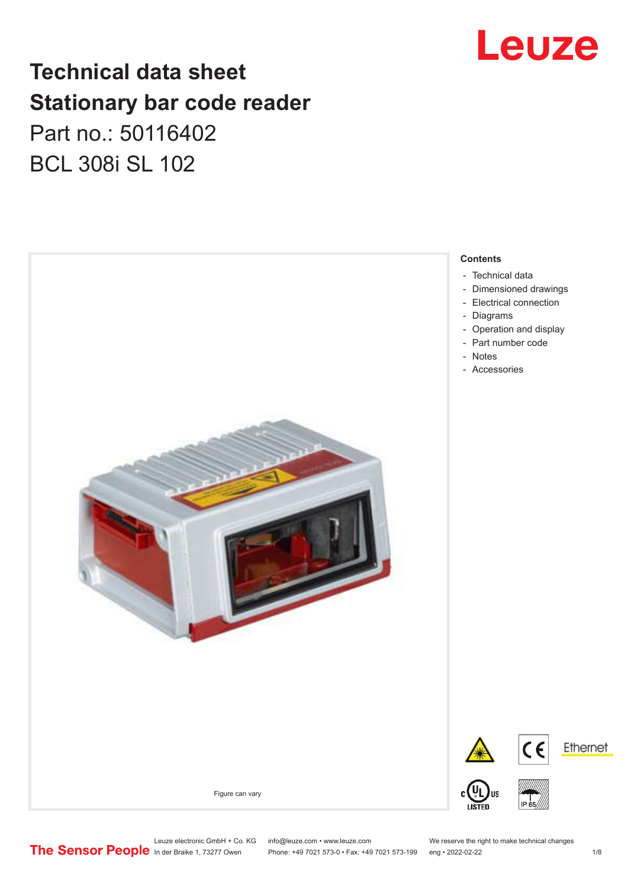

# **Technical data sheet Stationary bar code reader** Part no.: 50116402 BCL 308i SL 102



Leuze electronic GmbH + Co. KG info@leuze.com • www.leuze.com We reserve the right to make technical changes<br>
The Sensor People in der Braike 1, 73277 Owen Phone: +49 7021 573-0 • Fax: +49 7021 573-199 eng • 2022-02-22 Phone: +49 7021 573-0 • Fax: +49 7021 573-199 eng • 2022-02-22 1 /8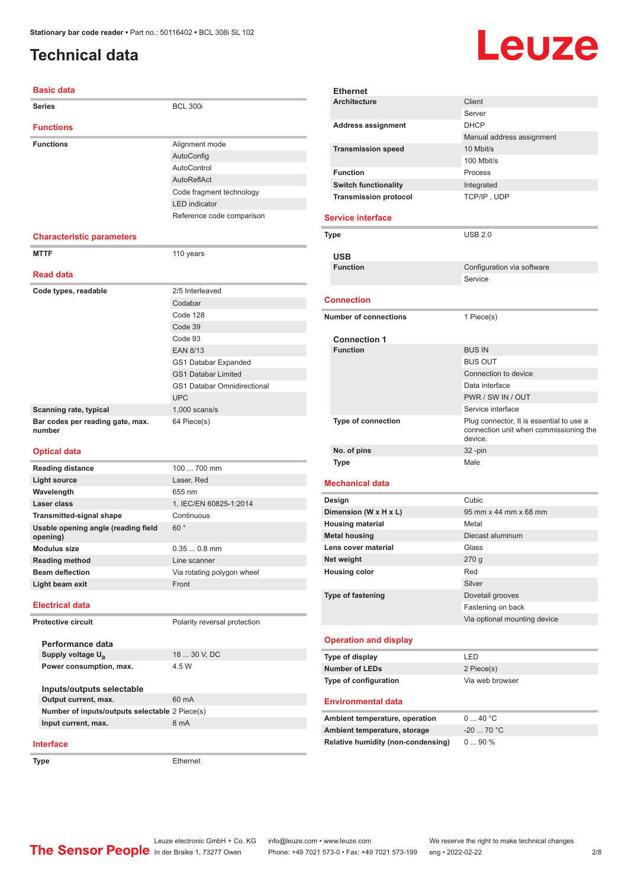# <span id="page-1-0"></span>**Technical data**

**Interface**

**Type** Ethernet

# Leuze

| <b>Basic data</b>                               |                                    |
|-------------------------------------------------|------------------------------------|
| <b>Series</b>                                   | <b>BCL 300i</b>                    |
| <b>Functions</b>                                |                                    |
| <b>Functions</b>                                | Alignment mode                     |
|                                                 | AutoConfig                         |
|                                                 | AutoControl                        |
|                                                 | <b>AutoReflAct</b>                 |
|                                                 | Code fragment technology           |
|                                                 | <b>LED</b> indicator               |
|                                                 | Reference code comparison          |
| <b>Characteristic parameters</b>                |                                    |
| <b>MTTF</b>                                     | 110 years                          |
|                                                 |                                    |
| <b>Read data</b>                                |                                    |
| Code types, readable                            | 2/5 Interleaved                    |
|                                                 | Codabar                            |
|                                                 | Code 128                           |
|                                                 | Code 39                            |
|                                                 | Code 93                            |
|                                                 | <b>EAN 8/13</b>                    |
|                                                 | GS1 Databar Expanded               |
|                                                 | <b>GS1 Databar Limited</b>         |
|                                                 | <b>GS1 Databar Omnidirectional</b> |
|                                                 | <b>UPC</b>                         |
| Scanning rate, typical                          | $1,000$ scans/s                    |
| Bar codes per reading gate, max.<br>number      | 64 Piece(s)                        |
| <b>Optical data</b>                             |                                    |
| <b>Reading distance</b>                         | 100  700 mm                        |
| <b>Light source</b>                             | Laser, Red                         |
| Wavelength                                      | 655 nm                             |
| Laser class                                     | 1. IEC/EN 60825-1:2014             |
| <b>Transmitted-signal shape</b>                 | Continuous                         |
| Usable opening angle (reading field<br>opening) | 60°                                |
| <b>Modulus size</b>                             | $0.350.8$ mm                       |
| <b>Reading method</b>                           | Line scanner                       |
| <b>Beam deflection</b>                          | Via rotating polygon wheel         |
| Light beam exit                                 | Front                              |
| <b>Electrical data</b>                          |                                    |
| <b>Protective circuit</b>                       | Polarity reversal protection       |
| Performance data                                |                                    |
| Supply voltage U <sub>B</sub>                   | 18  30 V, DC                       |
| Power consumption, max.                         | 4.5 W                              |
|                                                 |                                    |
| Inputs/outputs selectable                       |                                    |
| Output current, max.                            | 60 mA                              |
| Number of inputs/outputs selectable 2 Piece(s)  |                                    |
| Input current, max.                             | 8 mA                               |

|  | <b>Ethernet</b>                    |                                                   |
|--|------------------------------------|---------------------------------------------------|
|  | <b>Architecture</b>                | Client                                            |
|  |                                    | Server                                            |
|  | <b>Address assignment</b>          | <b>DHCP</b>                                       |
|  |                                    | Manual address assignment                         |
|  | <b>Transmission speed</b>          | 10 Mbit/s                                         |
|  |                                    | 100 Mbit/s                                        |
|  | <b>Function</b>                    | Process                                           |
|  | <b>Switch functionality</b>        | Integrated                                        |
|  | <b>Transmission protocol</b>       | TCP/IP, UDP                                       |
|  | <b>Service interface</b>           |                                                   |
|  | Type                               | <b>USB 2.0</b>                                    |
|  |                                    |                                                   |
|  | <b>USB</b>                         |                                                   |
|  | <b>Function</b>                    | Configuration via software                        |
|  |                                    | Service                                           |
|  | <b>Connection</b>                  |                                                   |
|  |                                    |                                                   |
|  | <b>Number of connections</b>       | 1 Piece(s)                                        |
|  | <b>Connection 1</b>                |                                                   |
|  | <b>Function</b>                    | <b>BUS IN</b>                                     |
|  |                                    | <b>BUS OUT</b>                                    |
|  |                                    | Connection to device                              |
|  |                                    | Data interface                                    |
|  |                                    | PWR / SW IN / OUT                                 |
|  |                                    | Service interface                                 |
|  | <b>Type of connection</b>          | Plug connector, It is essential to use a          |
|  |                                    | connection unit when commissioning the<br>device. |
|  | No. of pins                        | 32-pin                                            |
|  | Type                               | Male                                              |
|  | <b>Mechanical data</b>             |                                                   |
|  | Design                             | Cubic                                             |
|  | Dimension (W x H x L)              | 95 mm x 44 mm x 68 mm                             |
|  | <b>Housing material</b>            | Metal                                             |
|  | <b>Metal housing</b>               | Diecast aluminum                                  |
|  | Lens cover material                | Glass                                             |
|  | Net weight                         | 270 g                                             |
|  | <b>Housing color</b>               | Red                                               |
|  |                                    | Silver                                            |
|  | <b>Type of fastening</b>           | Dovetail grooves                                  |
|  |                                    | Fastening on back                                 |
|  |                                    | Via optional mounting device                      |
|  | <b>Operation and display</b>       |                                                   |
|  | Type of display                    | LED                                               |
|  | <b>Number of LEDs</b>              | 2 Piece(s)                                        |
|  | Type of configuration              | Via web browser                                   |
|  | <b>Environmental data</b>          |                                                   |
|  | Ambient temperature, operation     | 040 °C                                            |
|  | Ambient temperature, storage       | $-20$ 70 °C                                       |
|  | Relative humidity (non-condensing) | 090%                                              |
|  |                                    |                                                   |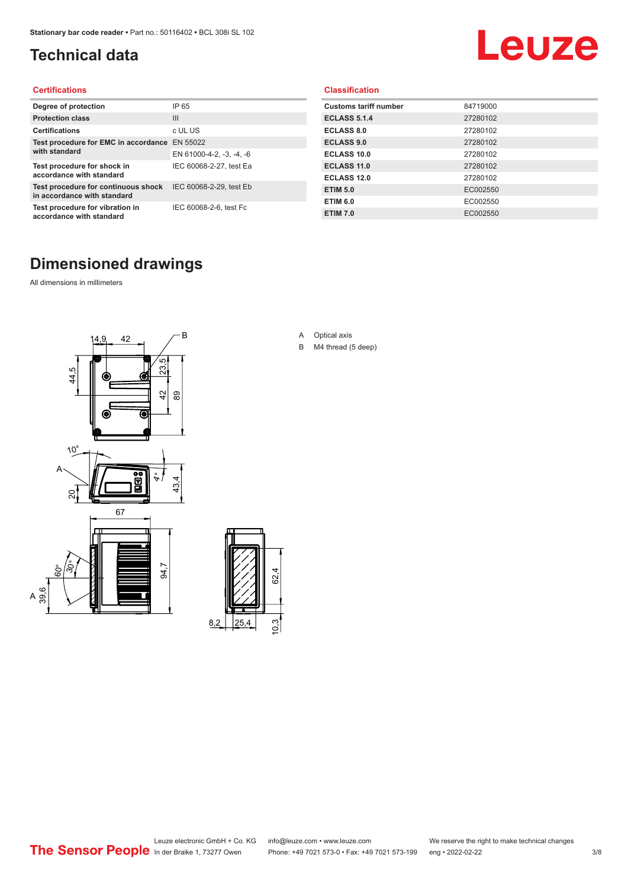# <span id="page-2-0"></span>**Technical data**

# Leuze

#### **Certifications**

| Degree of protection                                               | IP 65                    |
|--------------------------------------------------------------------|--------------------------|
| <b>Protection class</b>                                            | Ш                        |
| <b>Certifications</b>                                              | c UL US                  |
| Test procedure for EMC in accordance EN 55022                      |                          |
| with standard                                                      | EN 61000-4-2, -3, -4, -6 |
| Test procedure for shock in<br>accordance with standard            | IEC 60068-2-27, test Ea  |
| Test procedure for continuous shock<br>in accordance with standard | IEC 60068-2-29, test Eb  |
| Test procedure for vibration in<br>accordance with standard        | IEC 60068-2-6, test Fc   |

#### **Classification**

| <b>Customs tariff number</b> | 84719000 |
|------------------------------|----------|
| <b>ECLASS 5.1.4</b>          | 27280102 |
| <b>ECLASS 8.0</b>            | 27280102 |
| <b>ECLASS 9.0</b>            | 27280102 |
| ECLASS 10.0                  | 27280102 |
| <b>ECLASS 11.0</b>           | 27280102 |
| ECLASS 12.0                  | 27280102 |
| <b>ETIM 5.0</b>              | EC002550 |
| <b>ETIM 6.0</b>              | EC002550 |
| <b>ETIM 7.0</b>              | EC002550 |

# **Dimensioned drawings**

All dimensions in millimeters

 $\overline{A}$ 





- A Optical axis
- B M4 thread (5 deep)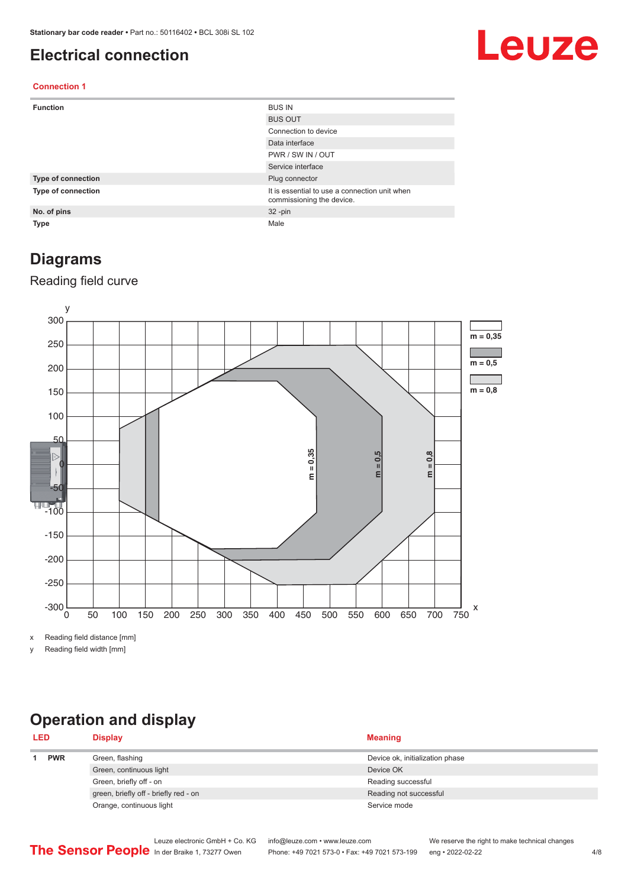### <span id="page-3-0"></span>**Electrical connection**

# Leuze

#### **Connection 1**

| <b>Function</b>    | <b>BUS IN</b>                                                              |
|--------------------|----------------------------------------------------------------------------|
|                    | <b>BUS OUT</b>                                                             |
|                    | Connection to device                                                       |
|                    | Data interface                                                             |
|                    | PWR / SW IN / OUT                                                          |
|                    | Service interface                                                          |
| Type of connection | Plug connector                                                             |
| Type of connection | It is essential to use a connection unit when<br>commissioning the device. |
| No. of pins        | $32 - pin$                                                                 |
| <b>Type</b>        | Male                                                                       |

### **Diagrams**

### Reading field curve



x Reading field distance [mm]

y Reading field width [mm]

# **Operation and display**

| <b>LED</b> |  | <b>Display</b>                        | <b>Meaning</b>                  |
|------------|--|---------------------------------------|---------------------------------|
| <b>PWR</b> |  | Green, flashing                       | Device ok, initialization phase |
|            |  | Green, continuous light               | Device OK                       |
|            |  | Green, briefly off - on               | Reading successful              |
|            |  | green, briefly off - briefly red - on | Reading not successful          |
|            |  | Orange, continuous light              | Service mode                    |
|            |  |                                       |                                 |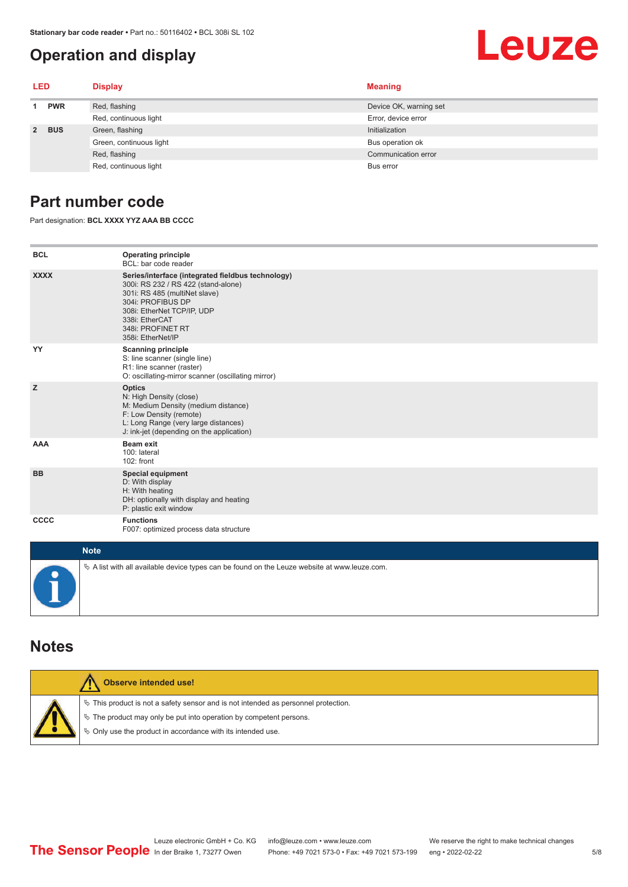# <span id="page-4-0"></span>**Operation and display**

# Leuze

| LED         |            | <b>Display</b>          | <b>Meaning</b>         |
|-------------|------------|-------------------------|------------------------|
| <b>PWR</b>  |            | Red, flashing           | Device OK, warning set |
|             |            | Red, continuous light   | Error, device error    |
| $2^{\circ}$ | <b>BUS</b> | Green, flashing         | Initialization         |
|             |            | Green, continuous light | Bus operation ok       |
|             |            | Red, flashing           | Communication error    |
|             |            | Red, continuous light   | Bus error              |

# **Part number code**

Part designation: **BCL XXXX YYZ AAA BB CCCC**

| <b>BCL</b>                                          | <b>Operating principle</b><br>BCL: bar code reader                                                                                                                                                                                       |
|-----------------------------------------------------|------------------------------------------------------------------------------------------------------------------------------------------------------------------------------------------------------------------------------------------|
| <b>XXXX</b>                                         | Series/interface (integrated fieldbus technology)<br>300i: RS 232 / RS 422 (stand-alone)<br>301i: RS 485 (multiNet slave)<br>304i: PROFIBUS DP<br>308i: EtherNet TCP/IP, UDP<br>338i: EtherCAT<br>348i: PROFINET RT<br>358i: EtherNet/IP |
| YY                                                  | <b>Scanning principle</b><br>S: line scanner (single line)<br>R1: line scanner (raster)<br>O: oscillating-mirror scanner (oscillating mirror)                                                                                            |
| z                                                   | <b>Optics</b><br>N: High Density (close)<br>M: Medium Density (medium distance)<br>F: Low Density (remote)<br>L: Long Range (very large distances)<br>J: ink-jet (depending on the application)                                          |
| AAA                                                 | <b>Beam exit</b><br>100: lateral<br>102: front                                                                                                                                                                                           |
| <b>BB</b>                                           | <b>Special equipment</b><br>D: With display<br>H: With heating<br>DH: optionally with display and heating<br>P: plastic exit window                                                                                                      |
| <b>CCCC</b>                                         | <b>Functions</b><br>F007: optimized process data structure                                                                                                                                                                               |
| $\mathbf{A}$ $\mathbf{B}$ $\mathbf{A}$ $\mathbf{A}$ |                                                                                                                                                                                                                                          |

| <b>Note</b>                                                                                  |
|----------------------------------------------------------------------------------------------|
| % A list with all available device types can be found on the Leuze website at www.leuze.com. |

### **Notes**

| Observe intended use!                                                                                                                                                                                                      |
|----------------------------------------------------------------------------------------------------------------------------------------------------------------------------------------------------------------------------|
| $\%$ This product is not a safety sensor and is not intended as personnel protection.<br>₹ The product may only be put into operation by competent persons.<br>♦ Only use the product in accordance with its intended use. |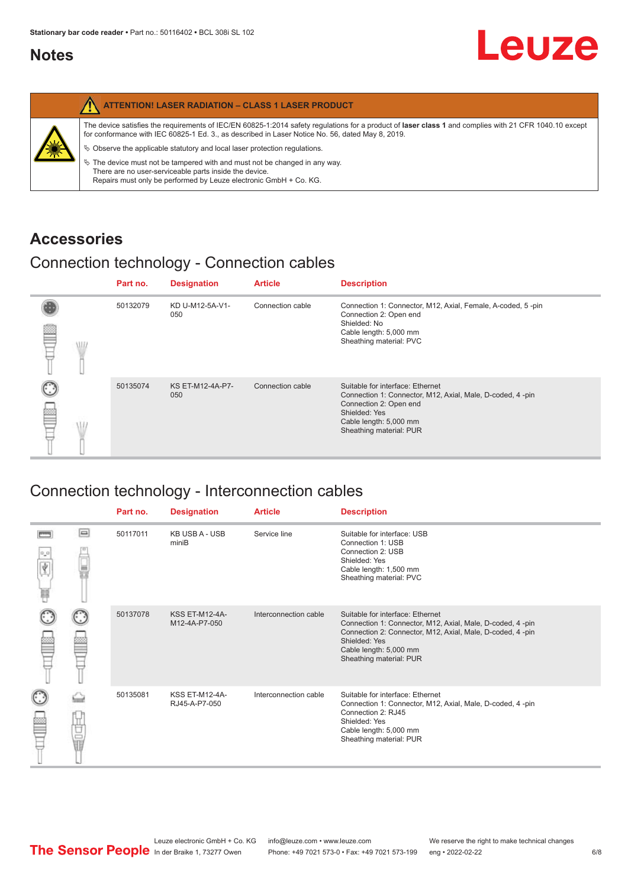## <span id="page-5-0"></span>**Notes**

|   | <b>ATTENTION! LASER RADIATION - CLASS 1 LASER PRODUCT</b>                                                                                                                                                                                                                                                                                                                                                                                                                                                                                                   |
|---|-------------------------------------------------------------------------------------------------------------------------------------------------------------------------------------------------------------------------------------------------------------------------------------------------------------------------------------------------------------------------------------------------------------------------------------------------------------------------------------------------------------------------------------------------------------|
| 纂 | The device satisfies the requirements of IEC/EN 60825-1:2014 safety requlations for a product of laser class 1 and complies with 21 CFR 1040.10 except<br>for conformance with IEC 60825-1 Ed. 3., as described in Laser Notice No. 56, dated May 8, 2019.<br>$\%$ Observe the applicable statutory and local laser protection regulations.<br>$\%$ The device must not be tampered with and must not be changed in any way.<br>There are no user-serviceable parts inside the device.<br>Repairs must only be performed by Leuze electronic GmbH + Co. KG. |

# **Accessories**

# Connection technology - Connection cables

|      | Part no. | <b>Designation</b>      | <b>Article</b>   | <b>Description</b>                                                                                                                                                                            |
|------|----------|-------------------------|------------------|-----------------------------------------------------------------------------------------------------------------------------------------------------------------------------------------------|
| \ll. | 50132079 | KD U-M12-5A-V1-<br>050  | Connection cable | Connection 1: Connector, M12, Axial, Female, A-coded, 5-pin<br>Connection 2: Open end<br>Shielded: No<br>Cable length: 5,000 mm<br>Sheathing material: PVC                                    |
|      | 50135074 | KS ET-M12-4A-P7-<br>050 | Connection cable | Suitable for interface: Ethernet<br>Connection 1: Connector, M12, Axial, Male, D-coded, 4-pin<br>Connection 2: Open end<br>Shielded: Yes<br>Cable length: 5,000 mm<br>Sheathing material: PUR |

# Connection technology - Interconnection cables

|        |    | Part no. | <b>Designation</b>                     | <b>Article</b>        | <b>Description</b>                                                                                                                                                                                                               |
|--------|----|----------|----------------------------------------|-----------------------|----------------------------------------------------------------------------------------------------------------------------------------------------------------------------------------------------------------------------------|
| Ý<br>Ħ | ▣  | 50117011 | <b>KB USB A - USB</b><br>miniB         | Service line          | Suitable for interface: USB<br>Connection 1: USB<br>Connection 2: USB<br>Shielded: Yes<br>Cable length: 1,500 mm<br>Sheathing material: PVC                                                                                      |
|        |    | 50137078 | <b>KSS ET-M12-4A-</b><br>M12-4A-P7-050 | Interconnection cable | Suitable for interface: Ethernet<br>Connection 1: Connector, M12, Axial, Male, D-coded, 4-pin<br>Connection 2: Connector, M12, Axial, Male, D-coded, 4-pin<br>Shielded: Yes<br>Cable length: 5,000 mm<br>Sheathing material: PUR |
|        | 世軍 | 50135081 | <b>KSS ET-M12-4A-</b><br>RJ45-A-P7-050 | Interconnection cable | Suitable for interface: Ethernet<br>Connection 1: Connector, M12, Axial, Male, D-coded, 4-pin<br>Connection 2: RJ45<br>Shielded: Yes<br>Cable length: 5,000 mm<br>Sheathing material: PUR                                        |

Leuze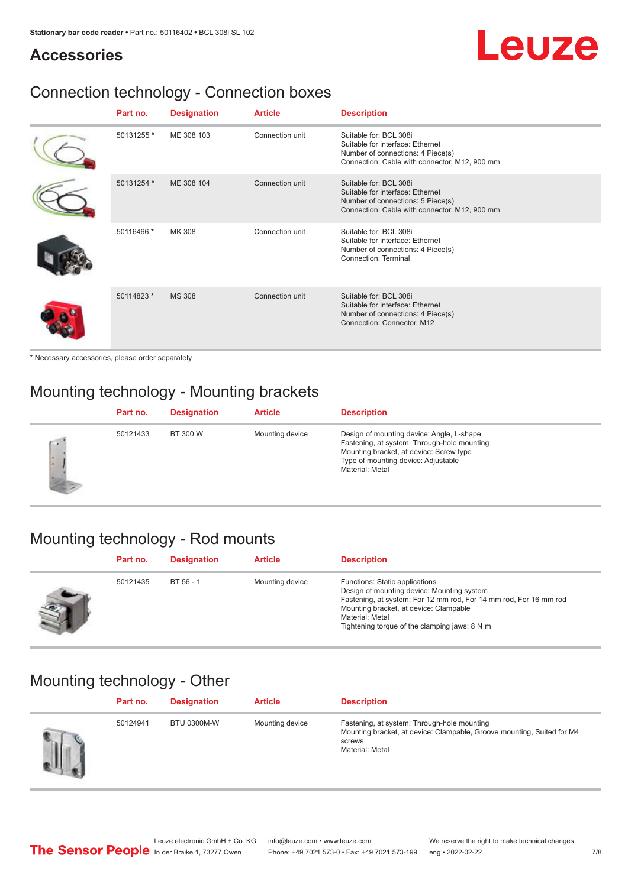# **Accessories**

# Leuze

# Connection technology - Connection boxes

| Part no.   | <b>Designation</b> | <b>Article</b>  | <b>Description</b>                                                                                                                               |
|------------|--------------------|-----------------|--------------------------------------------------------------------------------------------------------------------------------------------------|
| 50131255 * | ME 308 103         | Connection unit | Suitable for: BCL 308i<br>Suitable for interface: Ethernet<br>Number of connections: 4 Piece(s)<br>Connection: Cable with connector, M12, 900 mm |
| 50131254 * | ME 308 104         | Connection unit | Suitable for: BCL 308i<br>Suitable for interface: Ethernet<br>Number of connections: 5 Piece(s)<br>Connection: Cable with connector, M12, 900 mm |
| 50116466 * | MK 308             | Connection unit | Suitable for: BCL 308i<br>Suitable for interface: Ethernet<br>Number of connections: 4 Piece(s)<br>Connection: Terminal                          |
| 50114823 * | <b>MS 308</b>      | Connection unit | Suitable for: BCL 308i<br>Suitable for interface: Ethernet<br>Number of connections: 4 Piece(s)<br>Connection: Connector, M12                    |

\* Necessary accessories, please order separately

# Mounting technology - Mounting brackets

|   | Part no. | <b>Designation</b> | <b>Article</b>  | <b>Description</b>                                                                                                                                                                            |
|---|----------|--------------------|-----------------|-----------------------------------------------------------------------------------------------------------------------------------------------------------------------------------------------|
| Ġ | 50121433 | BT 300 W           | Mounting device | Design of mounting device: Angle, L-shape<br>Fastening, at system: Through-hole mounting<br>Mounting bracket, at device: Screw type<br>Type of mounting device: Adjustable<br>Material: Metal |

# Mounting technology - Rod mounts

| Part no. | <b>Designation</b> | <b>Article</b>  | <b>Description</b>                                                                                                                                                                                                                                                |
|----------|--------------------|-----------------|-------------------------------------------------------------------------------------------------------------------------------------------------------------------------------------------------------------------------------------------------------------------|
| 50121435 | $BT 56 - 1$        | Mounting device | Functions: Static applications<br>Design of mounting device: Mounting system<br>Fastening, at system: For 12 mm rod, For 14 mm rod, For 16 mm rod<br>Mounting bracket, at device: Clampable<br>Material: Metal<br>Tightening torque of the clamping jaws: $8 N·m$ |

# Mounting technology - Other

| Part no. | <b>Designation</b> | <b>Article</b>  | <b>Description</b>                                                                                                                                 |
|----------|--------------------|-----------------|----------------------------------------------------------------------------------------------------------------------------------------------------|
| 50124941 | <b>BTU 0300M-W</b> | Mounting device | Fastening, at system: Through-hole mounting<br>Mounting bracket, at device: Clampable, Groove mounting, Suited for M4<br>screws<br>Material: Metal |